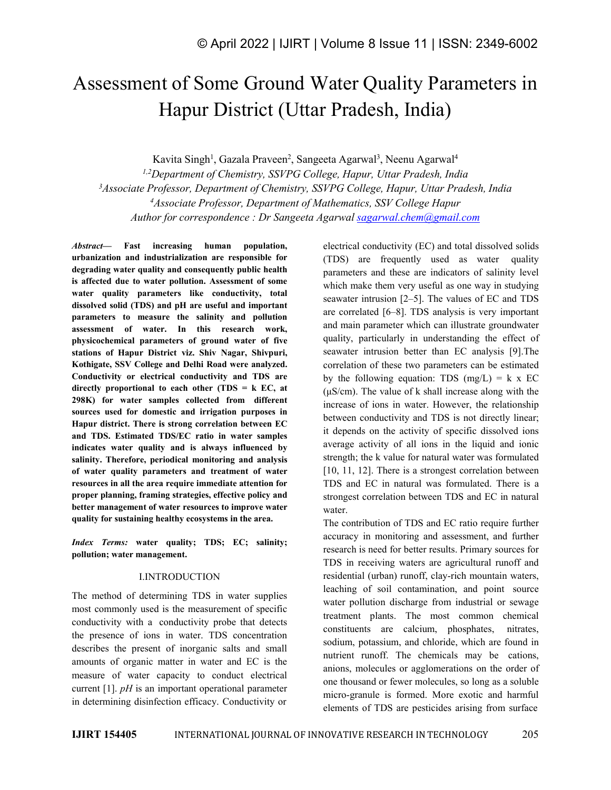# Assessment of Some Ground Water Quality Parameters in Hapur District (Uttar Pradesh, India)

Kavita Singh<sup>1</sup>, Gazala Praveen<sup>2</sup>, Sangeeta Agarwal<sup>3</sup>, Neenu Agarwal<sup>4</sup> *1,2Department of Chemistry, SSVPG College, Hapur, Uttar Pradesh, India <sup>3</sup>Associate Professor, Department of Chemistry, SSVPG College, Hapur, Uttar Pradesh, India <sup>4</sup>Associate Professor, Department of Mathematics, SSV College Hapur Author for correspondence : Dr Sangeeta Agarwal [sagarwal.chem@gmail.com](mailto:sagarwal.chem@gmail.com)*

*Abstract—* **Fast increasing human population, urbanization and industrialization are responsible for degrading water quality and consequently public health is affected due to water pollution. Assessment of some water quality parameters like conductivity, total dissolved solid (TDS) and pH are useful and important parameters to measure the salinity and pollution assessment of water. In this research work, physicochemical parameters of ground water of five stations of Hapur District viz. Shiv Nagar, Shivpuri, Kothigate, SSV College and Delhi Road were analyzed. Conductivity or electrical conductivity and TDS are directly proportional to each other (TDS = k EC, at 298K) for water samples collected from different sources used for domestic and irrigation purposes in Hapur district.There isstrong correlation between EC and TDS. Estimated TDS/EC ratio in water samples indicates water quality and is always influenced by salinity. Therefore, periodical monitoring and analysis of water quality parameters and treatment of water resources in all the area require immediate attention for proper planning, framing strategies, effective policy and better management of water resources to improve water quality for sustaining healthy ecosystems in the area.**

*Index Terms:* **water quality; TDS; EC; salinity; pollution; water management.**

## I.INTRODUCTION

The method of determining TDS in water supplies most commonly used is the measurement of specific conductivity with a conductivity probe that detects the presence of ions in water. TDS concentration describes the present of inorganic salts and small amounts of organic matter in water and EC is the measure of water capacity to conduct electrical current  $[1]$ . *pH* is an important operational parameter in determining disinfection efficacy. Conductivity or electrical conductivity (EC) and total dissolved solids (TDS) are frequently used as water quality parameters and these are indicators of salinity level which make them very useful as one way in studying seawater intrusion [2–5]. The values of EC and TDS are correlated [6–8]. TDS analysis is very important and main parameter which can illustrate groundwater quality, particularly in understanding the effect of seawater intrusion better than EC analysis [9].The correlation of these two parameters can be estimated by the following equation: TDS  $(mg/L) = k \times EC$  $(\mu S/cm)$ . The value of k shall increase along with the increase of ions in water. However, the relationship between conductivity and TDS is not directly linear; it depends on the activity of specific dissolved ions average activity of all ions in the liquid and ionic strength; the k value for natural water was formulated [10, 11, 12]. There is a strongest correlation between TDS and EC in natural was formulated. There is a strongest correlation between TDS and EC in natural water.

The contribution of TDS and EC ratio require further accuracy in monitoring and assessment, and further research is need for better results. Primary sources for TDS in receiving waters are agricultural runoff and residential (urban) runoff, clay-rich mountain waters, leaching of soil contamination, and point source water pollution discharge from industrial or sewage treatment plants. The most common chemical constituents are calcium, phosphates, nitrates, sodium, potassium, and chloride, which are found in nutrient runoff. The chemicals may be cations, anions, molecules or agglomerations on the order of one thousand or fewer molecules, so long as a soluble micro-granule is formed. More exotic and harmful elements of TDS are pesticides arising from surface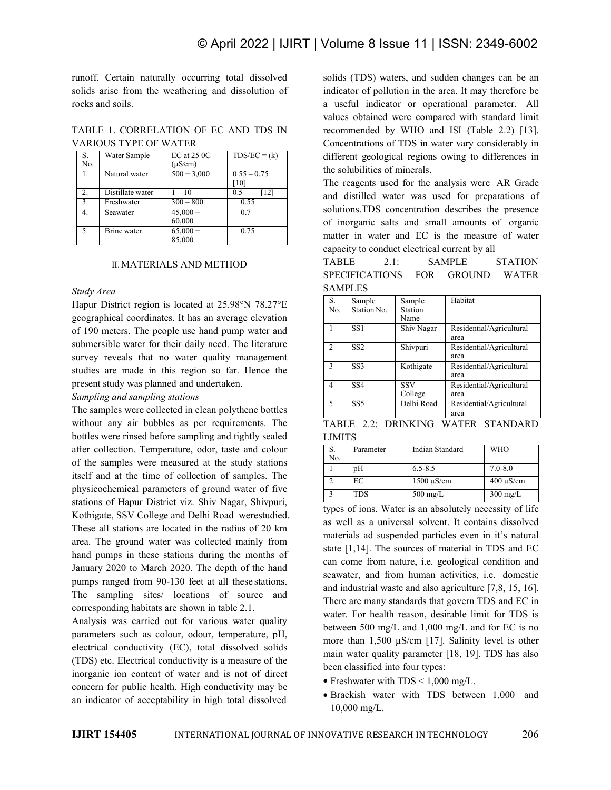runoff. Certain naturally occurring total dissolved solids arise from the weathering and dissolution of rocks and soils.

TABLE 1. CORRELATION OF EC AND TDS IN VARIOUS TYPE OF WATER

| S.<br>No.              | Water Sample                   | $EC$ at $25$ $OC$<br>$(\mu S/cm)$ | $TDS/EC = (k)$        | differ          |
|------------------------|--------------------------------|-----------------------------------|-----------------------|-----------------|
| 1.                     | Natural water                  | $500 - 3,000$                     | $0.55 - 0.75$<br>[10] | the so<br>The 1 |
| 2.<br>$\overline{3}$ . | Distillate water<br>Freshwater | $1 - 10$<br>$300 - 800$           | [12]<br>0.5<br>0.55   | and             |
| 4.                     | Seawater                       | $45,000 -$<br>60,000              | 0.7                   | soluti<br>of in |
| 5.                     | <b>Brine</b> water             | $65,000 -$<br>85,000              | 0.75                  | matte           |

## II.MATERIALS AND METHOD

### *Study Area*

Hapur District region is located at 25.98°N 78.27°E geographical coordinates. It has an average elevation of 190 meters. The people use hand pump water and submersible water for their daily need. The literature survey reveals that no water quality management studies are made in this region so far. Hence the present study was planned and undertaken.

## *Sampling and sampling stations*

The samples were collected in clean polythene bottles without any air bubbles as per requirements. The bottles were rinsed before sampling and tightly sealed after collection. Temperature, odor, taste and colour of the samples were measured at the study stations itself and at the time of collection of samples. The physicochemical parameters of ground water of five stations of Hapur District viz. Shiv Nagar, Shivpuri, Kothigate, SSV College and Delhi Road werestudied. These all stations are located in the radius of 20 km area. The ground water was collected mainly from hand pumps in these stations during the months of January 2020 to March 2020. The depth of the hand pumps ranged from 90-130 feet at all these stations. The sampling sites/ locations of source and corresponding habitats are shown in table 2.1.

Analysis was carried out for various water quality parameters such as colour, odour, temperature, pH, electrical conductivity (EC), total dissolved solids (TDS) etc. Electrical conductivity is a measure of the inorganic ion content of water and is not of direct concern for public health. High conductivity may be an indicator of acceptability in high total dissolved

 $TDS/EC = (k)$  different geological regions owing to differences in solids (TDS) waters, and sudden changes can be an indicator of pollution in the area. It may therefore be a useful indicator or operational parameter. All values obtained were compared with standard limit recommended by WHO and ISI (Table 2.2) [13]. Concentrations of TDS in water vary considerably in the solubilities of minerals.

> The reagents used for the analysis were AR Grade and distilled water was used for preparations of solutions.TDS concentration describes the presence of inorganic salts and small amounts of organic matter in water and EC is the measure of water capacity to conduct electrical current by all

SAMPLE STATION SPECIFICATIONS FOR GROUND WATER SAMPLES

| S.<br>No. | Sample<br>Station No. | Sample<br>Station<br>Name | Habitat                          |  |
|-----------|-----------------------|---------------------------|----------------------------------|--|
|           | SS1                   | Shiv Nagar                | Residential/Agricultural<br>area |  |
| 2         | SS <sub>2</sub>       | Shivpuri                  | Residential/Agricultural<br>area |  |
| 3         | SS <sub>3</sub>       | Kothigate                 | Residential/Agricultural<br>area |  |
| 4         | SS <sub>4</sub>       | <b>SSV</b><br>College     | Residential/Agricultural<br>area |  |
| 5         | SS <sub>5</sub>       | Delhi Road                | Residential/Agricultural<br>area |  |

|        |  | TABLE 2.2: DRINKING WATER STANDARD |  |
|--------|--|------------------------------------|--|
| LIMITS |  |                                    |  |

| S.<br>No. | Parameter  | Indian Standard    | <b>WHO</b>         |
|-----------|------------|--------------------|--------------------|
|           | pH         | $6.5 - 8.5$        | $7.0 - 8.0$        |
|           | EC         | $1500 \mu S/cm$    | $400 \mu S/cm$     |
|           | <b>TDS</b> | $500 \text{ mg/L}$ | $300 \text{ mg/L}$ |

types of ions. Water is an absolutely necessity of life as well as a universal solvent. It contains dissolved materials ad suspended particles even in it's natural state [1,14]. The sources of material in TDS and EC can come from nature, i.e. geological condition and seawater, and from human activities, i.e. domestic and industrial waste and also agriculture [7,8, 15,16]. There are many standards that govern TDS and EC in water. For health reason, desirable limit for TDS is between 500 mg/L and 1,000 mg/L and for EC is no more than 1,500  $\mu$ S/cm [17]. Salinity level is other main water quality parameter [18, 19]. TDS has also been classified into four types:

- Freshwater with  $TDS < 1,000$  mg/L.
- Brackish water with TDS between 1,000 and 10,000 mg/L.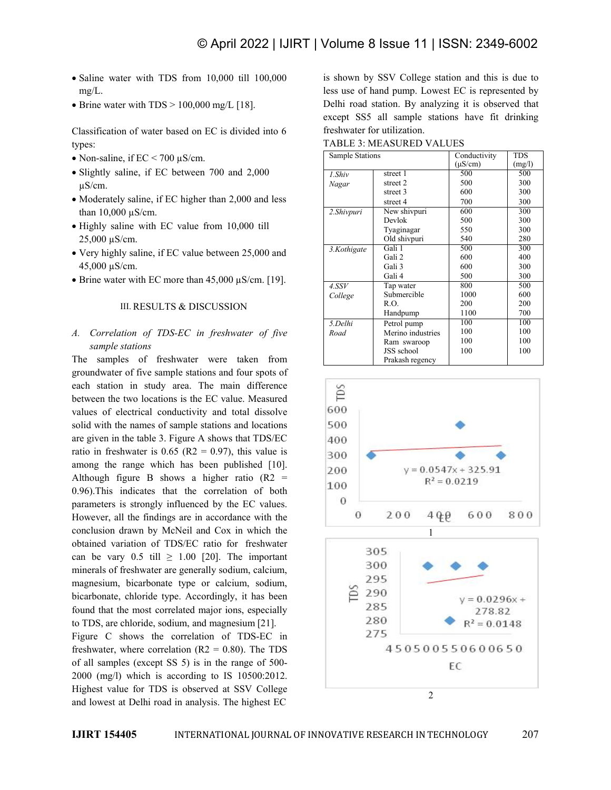- Saline water with TDS from 10,000 till 100,000 mg/L.
- Brine water with  $TDS > 100,000$  mg/L [18].

Classification of water based on EC is divided into 6 types:

- Non-saline, if  $EC < 700 \mu S/cm$ .
- Slightly saline, if EC between 700 and 2,000 µS/cm.
- Moderately saline, if EC higher than 2,000 and less than 10,000 µS/cm.
- Highly saline with EC value from 10,000 till 25,000 µS/cm.
- Very highly saline, if EC value between 25,000 and 45,000 µS/cm.
- Brine water with EC more than 45,000  $\mu$ S/cm. [19].

## III. RESULTS & DISCUSSION

## *A. Correlation of TDS-EC in freshwater of five sample stations*

The samples of freshwater were taken from groundwater of five sample stations and four spots of each station in study area. The main difference<br>between the two locations is the EC value. Measured between the two locations is the EC value. Measured values of electrical conductivity and total dissolve 600 solid with the names of sample stations and locations 500 are given in the table 3.Figure A shows that TDS/EC ratio in freshwater is  $0.65$  (R2 = 0.97), this value is  $300$ among the range which has been published [10]. Although figure B shows a higher ratio  $(R2 = 0.00 \text{ F})$  is the short of the short of the short of the short of the short of the short of the short of the short of the short of the short of the short of the short of the sho 0.96). This indicates that the correlation of both  $\frac{100}{100}$ parameters is strongly influenced by the EC values.<br>However all the findings are in accordance with the  $\qquad \qquad 0$ However, all the findings are in accordance with the conclusion drawn by McNeil and Cox in which the obtained variation of TDS/EC ratio for freshwater can be vary  $0.5$  till  $\geq 1.00$  [20]. The important minerals of freshwater are generally sodium, calcium, magnesium, bicarbonate type or calcium, sodium, bicarbonate, chloride type. Accordingly, it has been<br>found that the most correlated major ions, especially found that the most correlated major ions, especially to TDS, are chloride, sodium, and magnesium [21]. 280<br>Figure C shows the correlation of TDS-EC in 275

Figure C shows the correlation of TDS-EC in freshwater, where correlation (R2 = 0.80). The TDS  $450500550600650$ of all samples (except SS 5) is in the range of 500- 2000 (mg/l) which is according to IS 10500:2012. Highest value for TDS is observed at SSV College and lowest at Delhi road in analysis. The highest EC

is shown by SSV College station and this is due to less use of hand pump. Lowest EC is represented by Delhi road station. By analyzing it is observed that except SS5 all sample stations have fit drinking freshwater for utilization.

TABLE 3: MEASURED VALUES

| Sample Stations |                   | Conductivity | <b>TDS</b> |
|-----------------|-------------------|--------------|------------|
|                 |                   | $(\mu S/cm)$ | (mg/l)     |
| 1.Shiv          | street 1          | 500          | 500        |
| Nagar           | street 2          | 500          | 300        |
|                 | street 3          | 600          | 300        |
|                 | street 4          | 700          | 300        |
| 2.Shivpuri      | New shivpuri      | 600          | 300        |
|                 | Devlok            | 500          | 300        |
|                 | Tyaginagar        | 550          | 300        |
|                 | Old shivpuri      | 540          | 280        |
| 3.Kothigate     | Gali 1            | 500          | 300        |
|                 | Gali 2            | 600          | 400        |
|                 | Gali 3            | 600          | 300        |
|                 | Gali 4            | 500          | 300        |
| 4. SSV          | Tap water         | 800          | 500        |
| College         | Submercible       | 1000         | 600        |
|                 | R.O.              | 200          | 200        |
|                 | Handpump          | 1100         | 700        |
| 5.Delhi         | Petrol pump       | 100          | 100        |
| Road            | Merino industries | 100          | 100        |
|                 | Ram swaroop       | 100          | 100        |
|                 | JSS school        | 100          | 100        |
|                 | Prakash regency   |              |            |

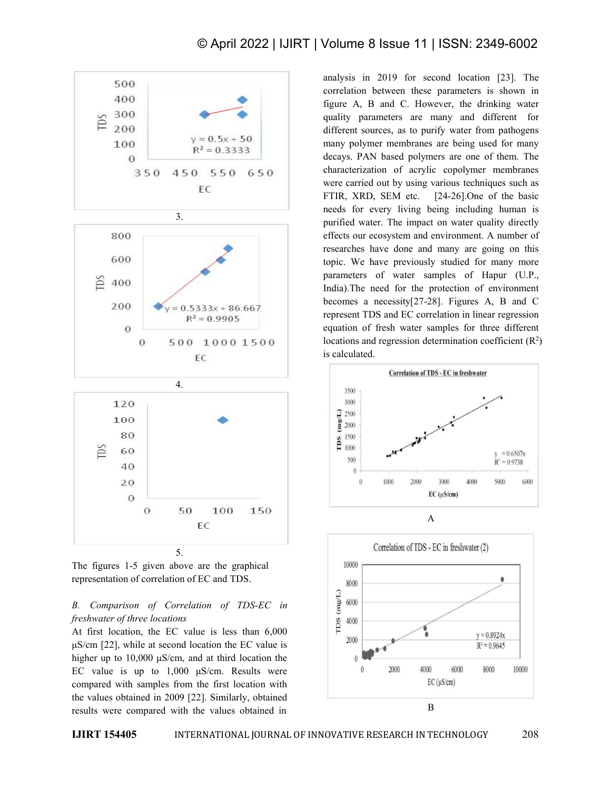



## *B. Comparison of Correlation of TDS-EC in*<br>*freshwater of three locations*<br>At first location the EC value is less than 6,000 *freshwater of three locations*

At first location, the EC value is less than  $6,000$   $\qquad \qquad \begin{array}{c} \square \\ \square \\ \square \end{array}$ μS/cm [22], while at second location the EC value is higher up to 10,000 μS/cm, and at third location the EC value is up to  $1,000$   $\mu$ S/cm. Results were compared with samples from the first location with the values obtained in 2009 [22]. Similarly, obtained results were compared with the values obtained in

analysis in 2019 for second location [23]. The correlation between these parameters is shown in figure A, B and C. However, the drinking water quality parameters are many and different for different sources, as to purify water from pathogens many polymer membranes are being used for many decays. PAN based polymers are one of them. The characterization of acrylic copolymer membranes were carried out by using various techniques such as FTIR, XRD, SEM etc. [24-26].One of the basic needs for every living being including human is purified water. The impact on water quality directly effects our ecosystem and environment. A number of researches have done and many are going on this topic. We have previously studied for many more parameters of water samples of Hapur (U.P., India).The need for the protection of environment becomes a necessity[27-28]. Figures A, B and C represent TDS and EC correlation in linear regression equation of fresh water samples for three different locations and regression determination coefficient  $(R<sup>2</sup>)$  $\binom{2}{ }$ is calculated.



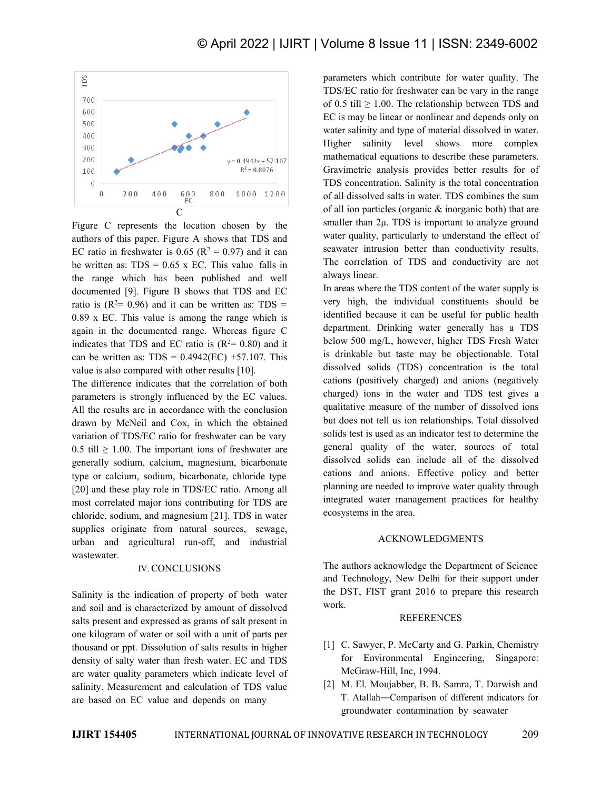

Figure C represents the location chosen by the authors of this paper. Figure A shows that TDS and EC ratio in freshwater is  $0.65$  ( $R^2 = 0.97$ ) and it can seawater intru be written as:  $TDS = 0.65$  x EC. This value falls in the range which has been published and well documented [9]. Figure B shows that TDS and EC ratio is  $(R^2= 0.96)$  and it can be written as: TDS = very high, the  $0.89$  x EC. This value is among the range which is again in the documented range. Whereas figure C indicates that TDS and EC ratio is  $(R^2=0.80)$  and it below 500 r can be written as:  $TDS = 0.4942(EC) +57.107$ . This value is also compared with other results [10].

The difference indicates that the correlation of both parameters is strongly influenced by the EC values. All the results are in accordance with the conclusion drawn by McNeil and Cox, in which the obtained variation of TDS/EC ratio for freshwater can be vary  $0.5$  till  $\geq 1.00$ . The important ions of freshwater are generally sodium, calcium, magnesium, bicarbonate type or calcium, sodium, bicarbonate, chloride type [20] and these play role in TDS/EC ratio. Among all most correlated major ions contributing for TDS are chloride, sodium, and magnesium [21]. TDS in water supplies originate from natural sources, sewage, urban and agricultural run-off, and industrial wastewater.

## IV. CONCLUSIONS

Salinity is the indication of property of both water and soil and is characterized by amount of dissolved salts present and expressed as grams of salt present in one kilogram of water or soil with a unit of parts per thousand or ppt. Dissolution of salts results in higher density of salty water than fresh water. EC and TDS are water quality parameters which indicate level of salinity. Measurement and calculation of TDS value are based on EC value and depends on many

parameters which contribute for water quality. The TDS/EC ratio for freshwater can be vary in the range of 0.5 till  $\geq$  1.00. The relationship between TDS and EC is may be linear or nonlinear and depends only on water salinity and type of material dissolved in water. Higher salinity level shows more complex mathematical equations to describe these parameters. Gravimetric analysis provides better results for of TDS concentration. Salinity is the total concentration of all dissolved salts in water. TDS combines the sum of all ion particles (organic & inorganic both) that are smaller than 2μ. TDS is important to analyze ground water quality, particularly to understand the effect of seawater intrusion better than conductivity results. The correlation of TDS and conductivity are not always linear.

In areas where the TDS content of the water supply is very high, the individual constituents should be identified because it can be useful for public health department. Drinking water generally has a TDS below 500 mg/L, however, higher TDS Fresh Water is drinkable but taste may be objectionable. Total dissolved solids (TDS) concentration is the total cations (positively charged) and anions (negatively charged) ions in the water and TDS test gives a qualitative measure of the number of dissolved ions but does not tell us ion relationships. Total dissolved solids test is used as an indicator test to determine the general quality of the water, sources of total dissolved solids can include all of the dissolved cations and anions. Effective policy and better planning are needed to improve water quality through integrated water management practices for healthy ecosystems in the area.

## ACKNOWLEDGMENTS

The authors acknowledge the Department of Science and Technology, New Delhi for their support under the DST, FIST grant 2016 to prepare this research work.

### **REFERENCES**

- [1] C. Sawyer, P. McCarty and G. Parkin, Chemistry for Environmental Engineering, Singapore: McGraw-Hill, Inc, 1994.
- [2] M. El. Moujabber, B. B. Samra, T. Darwish and T. Atallah―Comparison of different indicators for groundwater contamination by seawater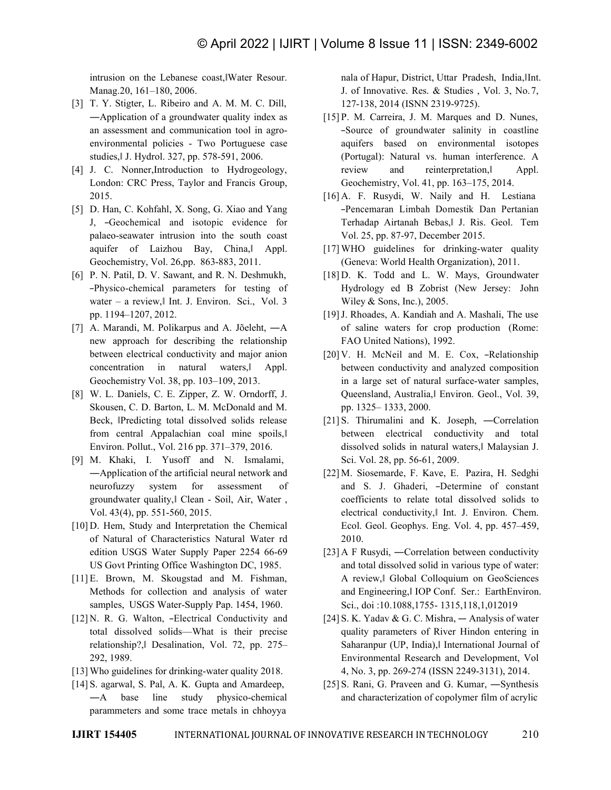intrusion on the Lebanese coast,‖Water Resour. Manag.20, 161–180, 2006.

- [3] T. Y. Stigter, L. Ribeiro and A. M. M. C. Dill, an assessment and communication tool in agro environmental policies - Two Portuguese case studies,‖ J. Hydrol. 327, pp. 578-591, 2006.
- [4] J. C. Nonner, Introduction to Hydrogeology, London: CRC Press, Taylor and Francis Group, 2015.
- [5] D. Han, C. Kohfahl, X. Song, G. Xiao and Yang J, ―Geochemical and isotopic evidence for palaeo-seawater intrusion into the south coast aquifer of Laizhou Bay, China,‖ Appl. Geochemistry, Vol. 26,pp. 863-883, 2011.
- [6] P. N. Patil, D. V. Sawant, and R. N. Deshmukh, ―Physico-chemical parameters for testing of water – a review,‖ Int. J. Environ. Sci., Vol. 3 pp. 1194–1207, 2012.
- [7] A. Marandi, M. Polikarpus and A. Jõeleht,―A new approach for describing the relationship between electrical conductivity and major anion concentration in natural waters, Appl. Geochemistry Vol. 38, pp. 103–109, 2013.
- [8] W. L. Daniels, C. E. Zipper, Z. W. Orndorff, J. Skousen, C. D. Barton, L. M. McDonald and M. Beck, ‖Predicting total dissolved solids release from central Appalachian coal mine spoils,‖ Environ. Pollut., Vol. 216 pp. 371–379, 2016.
- [9] M. Khaki, I. Yusoff and N. Ismalami, ―Application of the artificial neural network and neurofuzzy system for assessment of groundwater quality,‖ Clean - Soil, Air, Water , Vol. 43(4), pp. 551-560, 2015.
- [10] D. Hem, Study and Interpretation the Chemical of Natural of Characteristics Natural Water rd edition USGS Water Supply Paper 2254 66-69 US Govt Printing Office Washington DC, 1985.
- [11] E. Brown, M. Skougstad and M. Fishman, Methods for collection and analysis of water samples, USGS Water-Supply Pap. 1454, 1960.
- [12] N. R. G. Walton, -Electrical Conductivity and total dissolved solids—What is their precise relationship?,‖ Desalination, Vol. 72, pp. 275– 292, 1989.
- [13] Who guidelines for drinking-water quality 2018.
- [14] S. agarwal, S. Pal, A. K. Gupta and Amardeep,―A base line study physico-chemical parammeters and some trace metals in chhoyya

nala of Hapur, District, Uttar Pradesh, India, Int. J. of Innovative. Res. & Studies , Vol. 3, No.7, 127-138, 2014 (ISNN 2319-9725).

- ―Application of a groundwater quality index as -Source of groundwater salinity in coastline aquifers based on environmental isotopes (Portugal): Natural vs. human interference. A review and reinterpretation,‖ Appl. Geochemistry, Vol. 41, pp. 163–175, 2014.
	- [16] A. F. Rusydi, W. Naily and H. Lestiana ―Pencemaran Limbah Domestik Dan Pertanian Terhadap Airtanah Bebas,‖ J.Ris. Geol. Tem Vol. 25, pp. 87-97, December 2015.
	- [17] WHO guidelines for drinking-water quality (Geneva: World Health Organization), 2011.
	- [18] D. K. Todd and L. W. Mays, Groundwater Hydrology ed B Zobrist (New Jersey: John Wiley & Sons, Inc.), 2005.
	- [19] J. Rhoades, A. Kandiah and A. Mashali, The use of saline waters for crop production (Rome: FAO United Nations), 1992.
	- [20] V. H. McNeil and M. E. Cox, -Relationship between conductivity and analyzed composition in a large set of natural surface-water samples, Queensland, Australia,‖ Environ. Geol., Vol. 39, pp. 1325– 1333, 2000.
	- [21] S. Thirumalini and K. Joseph, —Correlation between electrical conductivity and total dissolved solids in natural waters,‖ Malaysian J. Sci. Vol. 28, pp. 56-61, 2009.
	- [22] M. Siosemarde, F. Kave, E. Pazira, H. Sedghi and S. J. Ghaderi, ―Determine of constant coefficients to relate total dissolved solids to electrical conductivity,‖ Int. J. Environ. Chem. Ecol. Geol. Geophys. Eng. Vol. 4, pp. 457–459, 2010.
	- [23] A F Rusydi, ―Correlation between conductivity and total dissolved solid in various type of water: A review,‖ Global Colloquium on GeoSciences and Engineering,‖ IOP Conf. Ser.: EarthEnviron. Sci., doi :10.1088,1755- 1315,118,1,012019
	- [24] S. K. Yadav & G. C. Mishra,  $-$  Analysis of water quality parameters of River Hindon entering in Saharanpur (UP, India),‖ International Journal of Environmental Research and Development, Vol 4, No. 3, pp. 269-274 (ISSN 2249-3131), 2014.
	- [25] S. Rani, G. Praveen and G. Kumar, ―Synthesis and characterization of copolymer film of acrylic